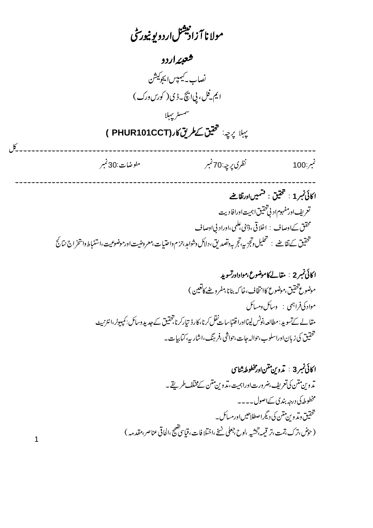مولا نا آ زاديشل اردو بونپورسی شعبئه اردو .<br>نصاب به کیمپس ایجوکیشن ايم فل، پي انچ - ڈي ( کورس درک ) سمسٹر پہلا يهلا يرحه: تحقيق كحطر يق كار ( PHUR101CCT )  $6<sup>6</sup>$ نظري پرچه :70 نمبر مفوضات:30 نمبر نمبر:100 ا كائي نمبر 1 : تحقيق : فشميںاورتقاضے تعريف اورمفهوم اد لي خقيق اہميت اورافا ديت محقق کےاوصاف : اخلاقی ،ڈینی علمی ،اوراد بی اوصاف ۔<br>تحقیق <sub>کےل</sub>قاضے : تحلیل وتجزیہ،تج بہ دنصدیق،دلاکل دشواہد،حزم داحتیات،معروضیت اورموضوعیت،استنباط داشخراج نتائج ا کائی نمبر 2 : مقالے کاموضوع،مواداورتسوید موضوع تحقيق بموضوع كاانتخاف،خا كه بنانا بمفروضے كاتعين ) مواد کی فراہمی : وسائل ومسائل مقالے کےتسوید : مطالعہ،نوٹس لینااورا قتباسات نقل کرنا،کارڈ تیارکرنا،تحقیق کے جدید وسائل : کمپیوٹر،انٹرنیپٹ

 $\overline{1}$ 

ا كائى نمبر 3 : تدوين متن اورمخطوطه شناسى .<br>تدوين متن كى تعريف،ضرورت اوراہميت،تدوين متن كے مختلف *طر*يقے۔ مخطوطہ کی درجہ بندی کےاصول ۔۔۔۔ تحقیق وی*تر*وین متن کی دیگراصطلاحیں اورمسائل۔ (حوش،ترک،تمت،تر قیمہ،تخشیہ ،لوح،جعلی نسخے،اختلافات،قماسی ضحیح،الحاقی عناصر،مقدمہہ)

.<br>تتحقیق کی زبان اوراسلوب،حوالہ جات،حواشی ،فرینگ،اشار یہ،کتابیات۔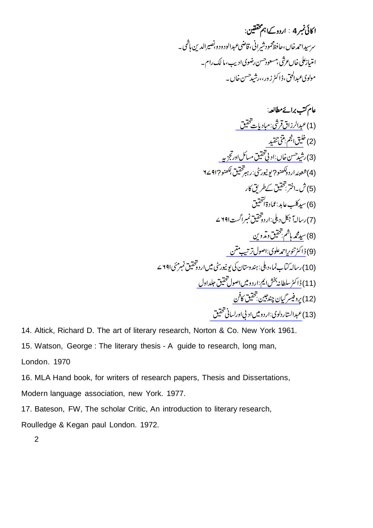ا کائی نمبر 4 : اردوک<sup>1</sup>اہم مخفقین: سرسیداحمدخاں،حافظ محمودشیرانی،قاضی عبدالود و دو بصیرالدین ہاشمی۔ امتیازعلی خاںعرشی بمسعودحسن رضوی ادیب،ما لک رام۔ .<br>مولوی *ع*بدالحق، <sub>ڈ</sub>اکٹرزور،،رشیدحسن خاں۔

[\\_\\_\\_\\_\\_\\_\\_\\_\\_\\_\\_\\_\\_\\_\\_\\_](https://www.rekhta.org/ebooks/mubadiyat-e-tahqeeq-abdur-razzaq-qureshi-ebooks?lang=ur) [\\_\\_\\_\\_\\_\\_\\_\\_\\_](https://www.rekhta.org/ebooks/matani-tanqeed-khaliq-anjum-ebooks?lang=ur) [\\_\\_\\_\\_\\_\\_\\_\\_\\_\\_\\_\\_\\_\\_\\_\\_\\_\\_\\_\\_](https://www.rekhta.org/ebooks/adabi-tahqeeq-masail-aur-tajziya-rasheed-hasan-khan-ebooks-3?lang=ur) [\\_\\_\\_\\_\\_\\_\\_\\_\\_\\_\\_\\_\\_](https://www.rekhta.org/ebooks/tahqeeq-o-tadveen-volume-001-ebooks?lang=ur) [\\_\\_\\_\\_\\_\\_\\_\\_\\_\\_\\_\\_\\_\\_\\_\\_\\_\\_\\_](https://www.rekhta.org/ebooks/usool-e-tahqeeq-wa-tarteeb-e-matan-tanveer-ahmad-alvi-ebooks?lang=ur) [\\_\\_\\_\\_\\_\\_\\_\\_\\_\\_\\_\\_\\_\\_\\_\\_\\_\\_\\_\\_\\_\\_\\_\\_\\_](https://www.rekhta.org/ebooks/urdu-mein-usool-e-tahqeeq-muntakhab-maqalat-ebooks?lang=ur) [\\_\\_\\_\\_\\_\\_\\_\\_\\_\\_\\_\\_\\_\\_\\_\\_](https://www.rekhta.org/ebooks/tahqeeq-ka-fun-gyan-chand-ebooks?lang=ur) [\\_\\_\\_\\_\\_\\_\\_\\_\\_\\_\\_\\_\\_\\_\\_\\_\\_\\_\\_\\_\\_\\_](https://www.rekhta.org/ebooks/adbi-aur-lesani-tahqeeq-usool-aur-tariqa-e-kar-ebooks?lang=ur) (1) (2) (3) ?? (4) (5) (6) (7) (8) (9) (10) (11) (12) (13)

14. Altick, Richard D. The art of literary research, Norton & Co. New York 1961.

15. Watson, George : The literary thesis - A guide to research, long man,

London. 1970

16. MLA Hand book, for writers of research papers, Thesis and Dissertations,

Modern language association, new York. 1977.

17. Bateson, FW, The scholar Critic, An introduction to literary research,

Roulledge & Kegan paul London. 1972.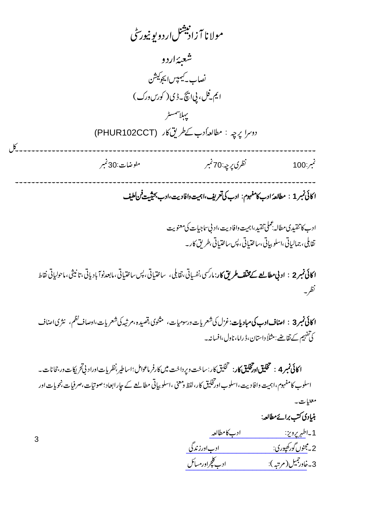مولا نا آ زادنیشل اردو بو نیورسی شعبەاردو .<br>نصاب - کیمپس <sub>ا</sub> پچوکیشن ايم فل، پي انچ - ڈي ( کورس درک ) يهلاسمسر دوسرا يرجه : مطالعه أدب كے طريق كار (PHUR102CCT)  $6<sup>6</sup>$ نظري پرچه :70 نمبر مفوضات:30 نمبر نمبر:100 ا كائى نمبر 1 : مطالعهُ ادب كامفهوم: ادب كى تعريف،اہميت وافاديت،ادب بحيثيت فن لطيف ادے كاتنقىدىمطالبەعملى تنقيد،اہميت دافاديت،اد بىساجيات كى معنويت تقابلي، جمالياتي،اسلوبياتي،ساختياتي، پس ساختياتي،طريق کار۔ نظر-**ا کائی نمبر3 : اصناف ادب کی مباد پات**:غزل کی شعریات درسومیات، مثنوی ،قصیده ،مرثیه کی شعریات ،اوصاف نظم، نثری اصناف كی تفہیم کے تقاضے : مثلاً داستان، ڈ راما، ناول،افسانہ۔ ا كانى نمبر 4 : تخليق اورتخليق كار: تخليق كار: ساخت ويرداخت ميں كارفر ماعوامل؛اساطير،نظريات اوراد ني تحريكات در جحانات \_ اسلوب کامفہوم،اہمیت وافا دیت،اسلوب اورتخلیق کار،لفظ ومعنی ،اسلو بیاتی مطالعے کے جارابعاد؛صوتیات،صرفیات،نحویات اور معنيات به .<br>بنیادی کتب برائےمطالعہ:

1 -اطهريرويز: ادب کامطالعہ ادے کلچراورمسائل 3۔خاورجمیل(مرتبہ):

3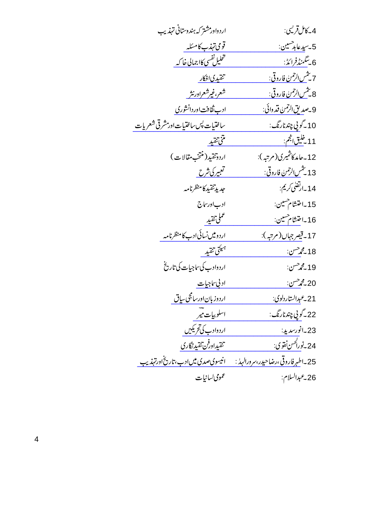| 4_كامل قريبي:                              | اردواور مشتر که ہندوستانی تہذیب           |
|--------------------------------------------|-------------------------------------------|
| 5-سيدعا <sub>ب</sub> رحسين:                | قومى تېزب كامسَله                         |
| 6 يىڭمنڈفرائڈ:                             | تخليل نفسي كالجمالي خاكير                 |
| <del>7 يثمن الرحم</del> ن فاروقي:          | تقيدي افكار                               |
| 8 <u>س<sup>م</sup>س الرحمن فاروقي:</u>     | شعر،غیرشعرادرنثر                          |
| 9_صديق الرحمن قد وائي:                     | ادب ثقافت اور دانشوری                     |
| 10 _گو پي چند نارنگ:                       | ساختيات پس ساختيات اور مشرقى شعريات       |
| <u>11 -غليق انجم:</u>                      | متنتقيد                                   |
| 12 - حامد كاشمىرى(مرتبه):                  | اردوتقىيد(منتخب مقالات)                   |
| 13 يى <u>نىش الرحمن فاروقى:</u>            | <u>تعبیرکی شرح</u>                        |
| 14 بەلقىلى كرىم:                           | جديدتقيد كامنظرنامه                       |
| 15 ـاختشام مسين:                           | ادب اورساج                                |
| 16 ـاختشام حسين:                           | عملى تقدير                                |
| 17 - قيصر جهان (مرتبه):                    | اردومیںنسائی ادب کامنظرنامہ               |
| 18 گھ حسن:                                 | مهيئتي تنقيد                              |
| 19 <b>گر</b> حسن:                          | اردوادب کی ساجیات کی تاریخ                |
| 20 گھ حسن:                                 | <u>اد بي ساجيات</u>                       |
| 21_عبدالستاردلوي:                          | اردوز بان اورسامجی ساق                    |
| 22 ـ گو پي چند نارنگ:                      | اسلوبيات مير                              |
| 23 -انورسديد:                              | اردوادب کی تحریکیں                        |
| 24_نو <u>را<sup>كحسن نقوي</sup></u> :      | <u>تقیداوفن تقیدنگاری</u>                 |
| 25_اط <u>هر فاروقی،رضاحیدر،سرورالهدا :</u> | <u>انیسوی صدی میں ادب، تاریخ اورتہذیب</u> |
| 26_عبدالسلام:                              | عمومي لسانيات                             |
|                                            |                                           |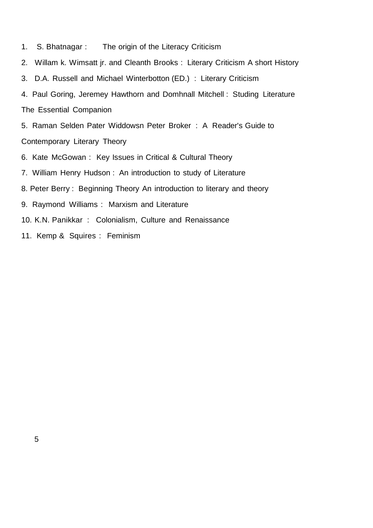- 1. S. Bhatnagar : The origin of the Literacy Criticism
- 2. Willam k. Wimsatt jr. and Cleanth Brooks : Literary Criticism A short History
- 3. D.A. Russell and Michael Winterbotton (ED.) : Literary Criticism
- 4. Paul Goring, Jeremey Hawthorn and Domhnall Mitchell : Studing Literature The Essential Companion

5. Raman Selden Pater Widdowsn Peter Broker : A Reader's Guide to Contemporary Literary Theory

- 6. Kate McGowan : Key Issues in Critical & Cultural Theory
- 7. William Henry Hudson : An introduction to study of Literature
- 8. Peter Berry : Beginning Theory An introduction to literary and theory
- 9. Raymond Williams : Marxism and Literature
- 10. K.N. Panikkar : Colonialism, Culture and Renaissance
- 11. Kemp & Squires : Feminism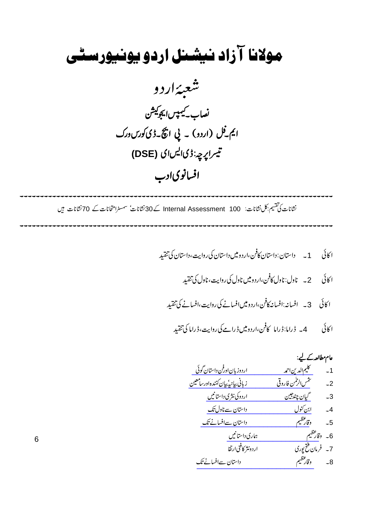## مولانا آزاد نیشنل اردو یونیورسٹی



نشانات کی تقسیم بکل نشانات: Internal Assessment 100 کے 30 نشانات سمسٹرامتخانات کے 70 نشانات ہیں

عامrac{1}{2} → 
$$
rac{3}{2}
$$
 → 
$$
rac{3}{2}
$$
 → 
$$
rac{3}{2}
$$
 → 
$$
rac{3}{2}
$$
 → 
$$
rac{3}{2}
$$
 → 
$$
rac{3}{2}
$$
 → 
$$
rac{3}{2}
$$
 → 
$$
rac{3}{2}
$$
 → 
$$
rac{3}{2}
$$
 → 
$$
rac{3}{2}
$$
 → 
$$
rac{3}{2}
$$
 → 
$$
rac{3}{2}
$$
 → 
$$
rac{3}{2}
$$
 → 
$$
rac{3}{2}
$$
 → 
$$
rac{3}{2}
$$
 → 
$$
rac{3}{2}
$$
 → 
$$
rac{3}{2}
$$
 → 
$$
rac{3}{2}
$$
 → 
$$
rac{3}{2}
$$
 → 
$$
rac{3}{2}
$$
 → 
$$
rac{3}{2}
$$
 → 
$$
rac{3}{2}
$$
 → 
$$
rac{3}{2}
$$
 → 
$$
rac{3}{2}
$$
 → 
$$
rac{3}{2}
$$
 → 
$$
rac{3}{2}
$$
 → 
$$
rac{3}{2}
$$
 → 
$$
rac{3}{2}
$$
 → 
$$
rac{3}{2}
$$
 → 
$$
rac{3}{2}
$$
 → 
$$
rac{3}{2}
$$
 → 
$$
rac{3}{2}
$$
 → 
$$
rac{3}{2}
$$
 → 
$$
rac{3}{2}
$$
 → 
$$
rac{3}{2}
$$
 → 
$$
rac{3}{2}
$$
 → 
$$
rac{3}{2}
$$
 → 
$$
rac{3}{2}
$$
 → 
$$
rac{3}{2}
$$
 → 
$$
rac{3}{2}
$$
 → 
$$
rac{3}{2}
$$
 → 
$$
rac{3}{2}
$$
 → 
$$
rac{3}{2}
$$
 → 
$$
rac{3}{2}
$$
 → 
$$
rac{3}{2}
$$
 → 
$$
rac{3}{2}
$$
 → 
$$
rac{3}{2}
$$
 → 
$$
rac{3}{2}
$$
 → 
$$
rac{3}{2}
$$
 → <math display="block</b'•• <math>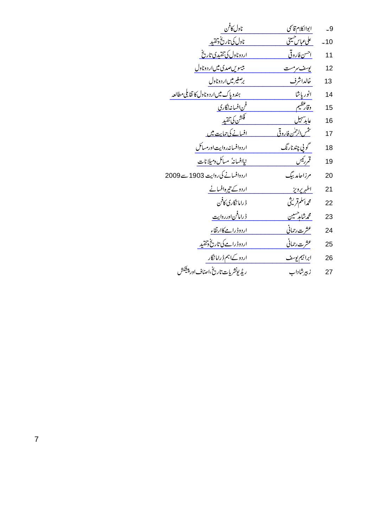| -9    |
|-------|
| $-10$ |
| 11    |
| 12    |
| 13    |
| 14    |
| 15    |
| 16    |
| 17    |
| 18    |
| 19    |
| 20    |
| 21    |
| 22    |
| 23    |
| 24    |
| 25    |
| 26    |
| 27    |
|       |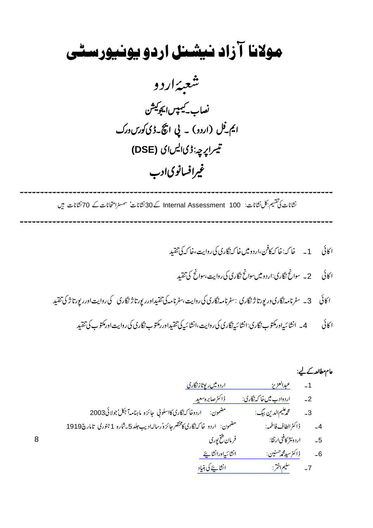## مولانا آزاد نیشنل اردو یونیورسٹی شعبەاردو .<br>نصاب <sup>کیمپس</sup>ایجو<sup>کیش</sup>ن ایم فل (اردو) ۔ پی اچ کے ڈی کورس ورک تينزاپ<sub>رچە</sub>:ڈىالیںای (DSE) غیرافسانوی ادب

 نشانات کی تقسیم بکل نشانات: Internal Assessment 100 کے 30 نشانات سمسٹرامتحانات کے 70 نشانات ہیں

<sup>1</sup>

<sup>2</sup>

<sup>3</sup>

<sup>4</sup>

[\\_\\_\\_\\_\\_\\_\\_\\_\\_\\_\\_\\_\\_\\_\\_\\_\\_\\_\\_\\_\\_\\_\\_\\_\\_](https://www.rekhta.org/ebooks/urdu-mein-reportage-nigari-abdul-aziz-ebooks-1?lang=ur) [\\_\\_\\_\\_\\_\\_\\_\\_\\_\\_\\_\\_\\_\\_\\_\\_\\_\\_\\_\\_\\_\\_\\_](https://www.rekhta.org/ebooks/urdu-adab-mein-khaka-nigari-sabira-saeed-ebooks?lang=ur) [\\_\\_\\_\\_\\_\\_\\_\\_\\_\\_\\_\\_\\_\\_\\_\\_\\_\\_\\_\\_\\_\\_\\_\\_](https://www.rekhta.org/ebooks/sinf-e-inshaiya-aur-chand-inshiye-syed-mohammad-hasnain-ebooks?lang=ur) [\\_\\_\\_\\_\\_\\_\\_\\_\\_\\_\\_\\_\\_\\_\\_\\_\\_\\_\\_\\_\\_\\_](https://www.rekhta.org/ebooks/inshaiya-ki-buniyad-saleem-akhtar-ebooks?lang=ur) 1 2 2003 3 <sup>1919</sup><sup>1</sup> 5 <sup>4</sup> 5 6 7

8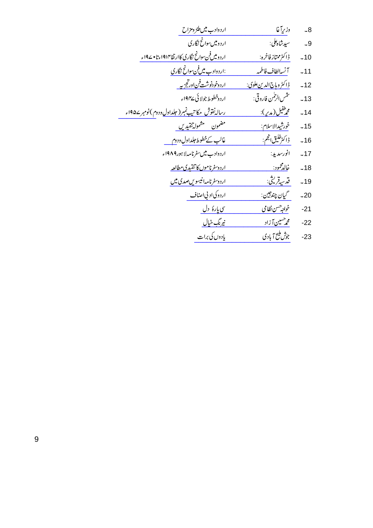| وزريآغا                                  | ارد وادب میں طنز ومزاح                                    |
|------------------------------------------|-----------------------------------------------------------|
| سيدشاه كلي:                              | اردومیں سوانح نگاری                                       |
| ڈاکٹرممتاز فاخرہ:                        | اردومیںفن سوائح نگاری کاارتقا۱۹۱۴ءتا • ۱۹۷ء               |
| آنسهالطاف فاطمه                          | :اردوادب میںفن سوائح نگاری                                |
| <u> ژاکٹر وباج الدین علوی:</u>           | <u>اردوخودنوشت فناورتجزیه</u>                             |
| تثمس الرحمٰن فاروقی:                     | اردوخطوط جولائي ١٩۴۷ء                                     |
| محم <sup>طفيل (</sup> مد <sup>ي</sup> ): | <u>رساله نقوش مکاتیپ نمبر ( جلداول د دوم )نومبر ۱۹۵۷ء</u> |
| خورشپدالاسلام:                           | مضمون مشموله تنقيدين                                      |
| <sub>ڈا</sub> کٹڑخلیق انجم:              | غالب كےخطوط حلداول ودوم                                   |
| انورسديد:                                | اردوادب میں سفرنامہ لاہور19۸۹ء                            |
| <u>خالدمحمود:</u>                        | <u>اردوسفرناموں کا تنقیدی مطالعہ</u>                      |
| قدسەقرىتى:                               | اردوسفرنامه انيسويں صدى ميں                               |
| گيان چندجين:                             | اردوكی اد پی اصناف                                        |
| خواجه <sup>ر</sup> سن نظامی              | سی یارهٔ د <u>ل</u>                                       |
| <u>محمر سین آ زاد</u>                    | <u>نیرنگ خیال</u>                                         |
| جوش مليح آبادي                           | یادوں کی برات                                             |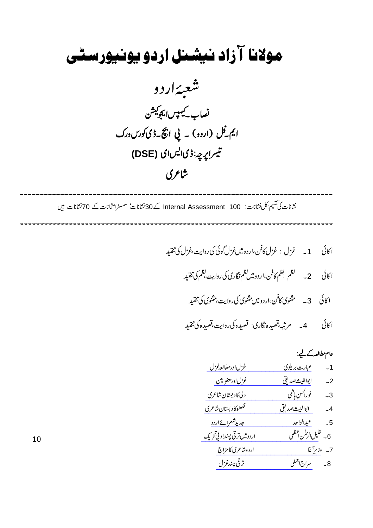## مولانا آزاد نیشنل اردو یونیورسٹی شعبەاردو .<br>نصاب کیمپس<sub>ال</sub>یجوکیش ایم فِل (اردو) ۔ پی اچ کے ڈی کورس ورک تيراپ<sub>چ</sub>:ڈیالیںای (DSE) شاعري

نشانات کی تقسیم بکل نشانات: Internal Assessment 100 کے 30نشانات سمسٹرامتخانات کے 70نشانات ہیں

 $10$